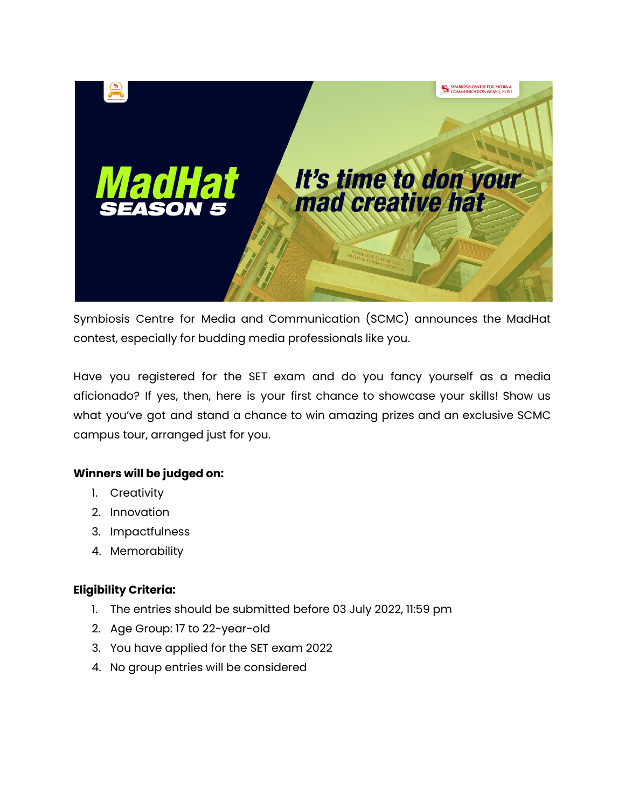

Symbiosis Centre for Media and Communication (SCMC) announces the MadHat contest, especially for budding media professionals like you.

Have you registered for the SET exam and do you fancy yourself as a media aficionado? If yes, then, here is your first chance to showcase your skills! Show us what you've got and stand a chance to win amazing prizes and an exclusive SCMC campus tour, arranged just for you.

## **Winners will be judged on:**

- 1. Creativity
- 2. Innovation
- 3. Impactfulness
- 4. Memorability

### **Eligibility Criteria:**

- 1. The entries should be submitted before 03 July 2022, 11:59 pm
- 2. Age Group: 17 to 22-year-old
- 3. You have applied for the SET exam 2022
- 4. No group entries will be considered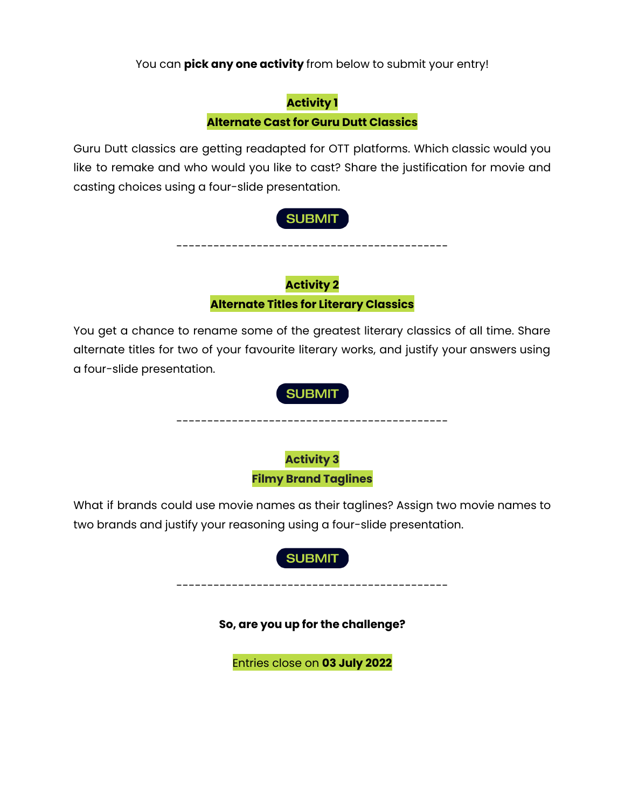You can **pick any one activity** from below to submit your entry!

# **Activity 1 Alternate Cast for Guru Dutt Classics**

Guru Dutt classics are getting readapted for OTT platforms. Which classic would you like to remake and who would you like to cast? Share the justification for movie and casting choices using a four-slide presentation.

# **SUBMIT**

--------------------------------------------

**Activity 2 Alternate Titles for Literary Classics**

You get a chance to rename some of the greatest literary classics of all time. Share alternate titles for two of your favourite literary works, and justify your answers using a four-slide presentation.



What if brands could use movie names as their taglines? Assign two movie names to two brands and justify your reasoning using a four-slide presentation.



--------------------------------------------

**So, are you up for the challenge?**

Entries close on **03 July 2022**